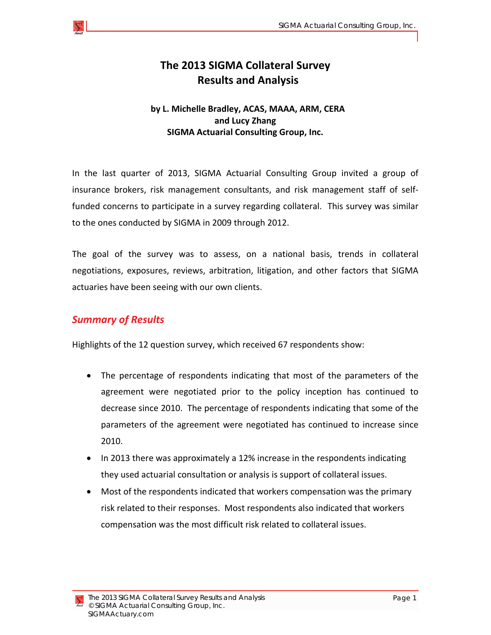### **The 2013 SIGMA Collateral Survey Results and Analysis**

#### **by L. Michelle Bradley, ACAS, MAAA, ARM, CERA and Lucy Zhang SIGMA Actuarial Consulting Group, Inc.**

In the last quarter of 2013, SIGMA Actuarial Consulting Group invited a group of insurance brokers, risk management consultants, and risk management staff of self‐ funded concerns to participate in a survey regarding collateral. This survey was similar to the ones conducted by SIGMA in 2009 through 2012.

The goal of the survey was to assess, on a national basis, trends in collateral negotiations, exposures, reviews, arbitration, litigation, and other factors that SIGMA actuaries have been seeing with our own clients.

#### *Summary of Results*

Highlights of the 12 question survey, which received 67 respondents show:

- The percentage of respondents indicating that most of the parameters of the agreement were negotiated prior to the policy inception has continued to decrease since 2010. The percentage of respondents indicating that some of the parameters of the agreement were negotiated has continued to increase since 2010.
- In 2013 there was approximately a 12% increase in the respondents indicating they used actuarial consultation or analysis is support of collateral issues.
- Most of the respondents indicated that workers compensation was the primary risk related to their responses. Most respondents also indicated that workers compensation was the most difficult risk related to collateral issues.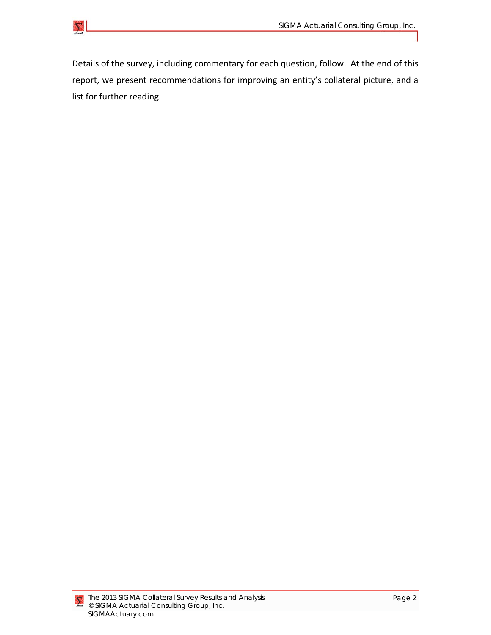

Details of the survey, including commentary for each question, follow. At the end of this report, we present recommendations for improving an entity's collateral picture, and a list for further reading.

 $\sum$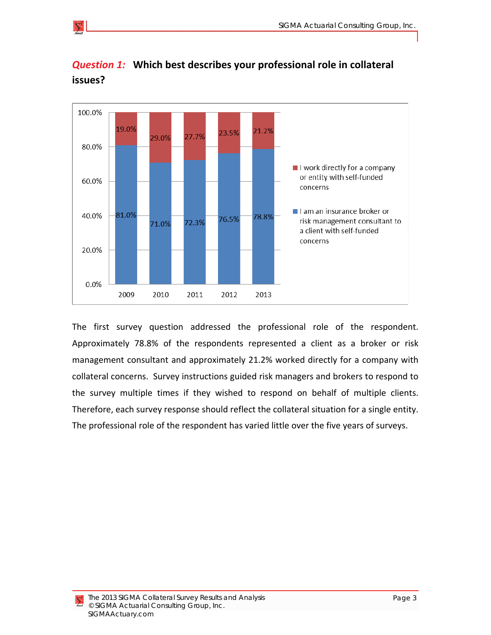

*Question 1:* **Which best describes your professional role in collateral issues?**

The first survey question addressed the professional role of the respondent. Approximately 78.8% of the respondents represented a client as a broker or risk management consultant and approximately 21.2% worked directly for a company with collateral concerns. Survey instructions guided risk managers and brokers to respond to the survey multiple times if they wished to respond on behalf of multiple clients. Therefore, each survey response should reflect the collateral situation for a single entity. The professional role of the respondent has varied little over the five years of surveys.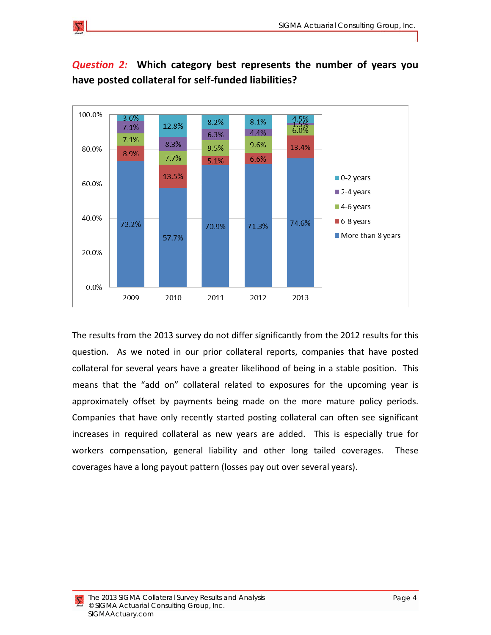

## *Question 2:*  **Which category best represents the number of years you have posted collateral for self‐funded liabilities?**

The results from the 2013 survey do not differ significantly from the 2012 results for this question. As we noted in our prior collateral reports, companies that have posted collateral for several years have a greater likelihood of being in a stable position. This means that the "add on" collateral related to exposures for the upcoming year is approximately offset by payments being made on the more mature policy periods. Companies that have only recently started posting collateral can often see significant increases in required collateral as new years are added. This is especially true for workers compensation, general liability and other long tailed coverages. These coverages have a long payout pattern (losses pay out over several years).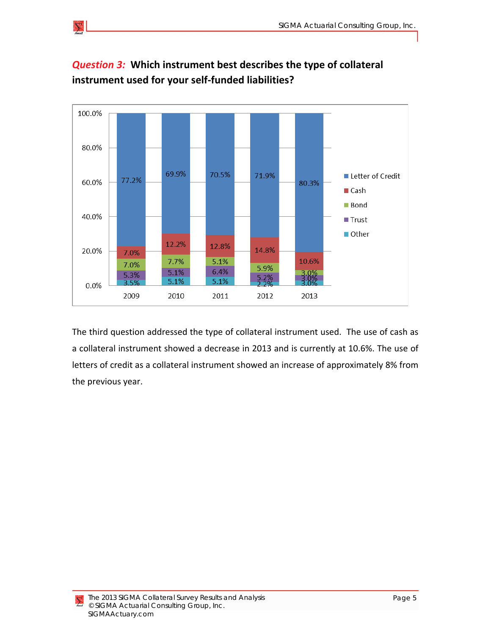

# *Question 3:* **Which instrument best describes the type of collateral instrument used for your self‐funded liabilities?**

The third question addressed the type of collateral instrument used. The use of cash as a collateral instrument showed a decrease in 2013 and is currently at 10.6%. The use of letters of credit as a collateral instrument showed an increase of approximately 8% from the previous year.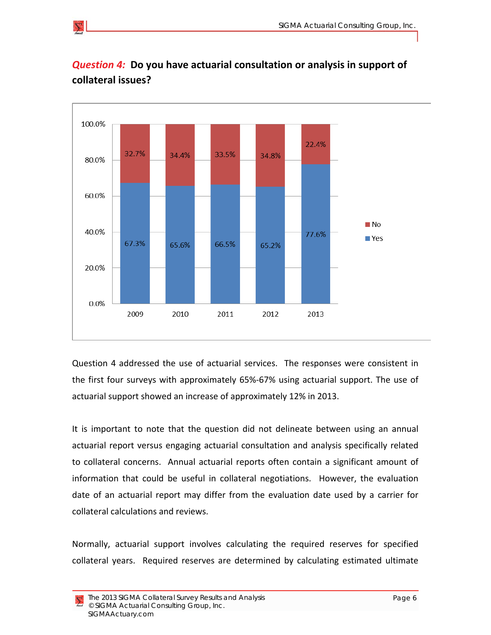

### *Question 4:* **Do you have actuarial consultation or analysis in support of collateral issues?**

Question 4 addressed the use of actuarial services. The responses were consistent in the first four surveys with approximately 65%‐67% using actuarial support. The use of actuarial support showed an increase of approximately 12% in 2013.

It is important to note that the question did not delineate between using an annual actuarial report versus engaging actuarial consultation and analysis specifically related to collateral concerns. Annual actuarial reports often contain a significant amount of information that could be useful in collateral negotiations. However, the evaluation date of an actuarial report may differ from the evaluation date used by a carrier for collateral calculations and reviews.

Normally, actuarial support involves calculating the required reserves for specified collateral years. Required reserves are determined by calculating estimated ultimate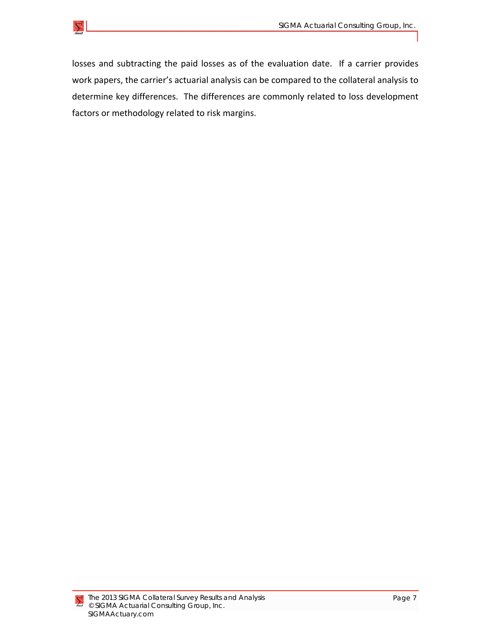

losses and subtracting the paid losses as of the evaluation date. If a carrier provides work papers, the carrier's actuarial analysis can be compared to the collateral analysis to determine key differences. The differences are commonly related to loss development factors or methodology related to risk margins.

 $\sum$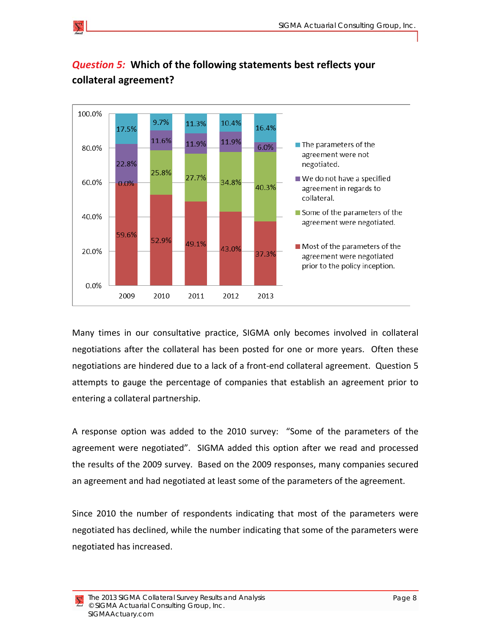

## *Question 5:* **Which of the following statements best reflects your collateral agreement?**

Many times in our consultative practice, SIGMA only becomes involved in collateral negotiations after the collateral has been posted for one or more years. Often these negotiations are hindered due to a lack of a front‐end collateral agreement. Question 5 attempts to gauge the percentage of companies that establish an agreement prior to entering a collateral partnership.

A response option was added to the 2010 survey: "Some of the parameters of the agreement were negotiated". SIGMA added this option after we read and processed the results of the 2009 survey. Based on the 2009 responses, many companies secured an agreement and had negotiated at least some of the parameters of the agreement.

Since 2010 the number of respondents indicating that most of the parameters were negotiated has declined, while the number indicating that some of the parameters were negotiated has increased.

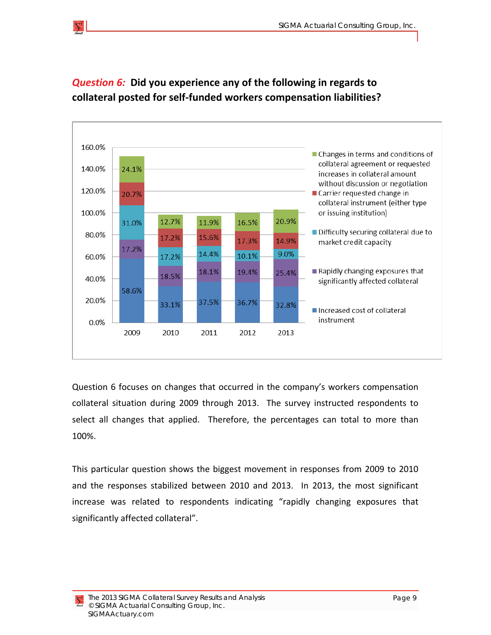

### *Question 6:* **Did you experience any of the following in regards to collateral posted for self‐funded workers compensation liabilities?**

Question 6 focuses on changes that occurred in the company's workers compensation collateral situation during 2009 through 2013. The survey instructed respondents to select all changes that applied. Therefore, the percentages can total to more than 100%.

This particular question shows the biggest movement in responses from 2009 to 2010 and the responses stabilized between 2010 and 2013. In 2013, the most significant increase was related to respondents indicating "rapidly changing exposures that significantly affected collateral".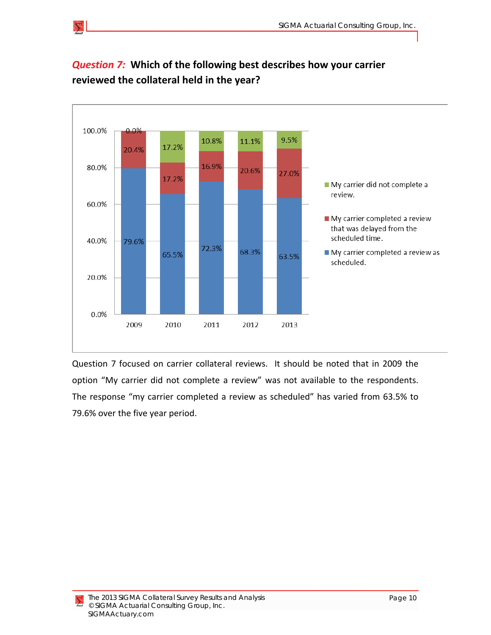

## *Question 7:* **Which of the following best describes how your carrier reviewed the collateral held in the year?**

Question 7 focused on carrier collateral reviews. It should be noted that in 2009 the option "My carrier did not complete a review" was not available to the respondents. The response "my carrier completed a review as scheduled" has varied from 63.5% to 79.6% over the five year period.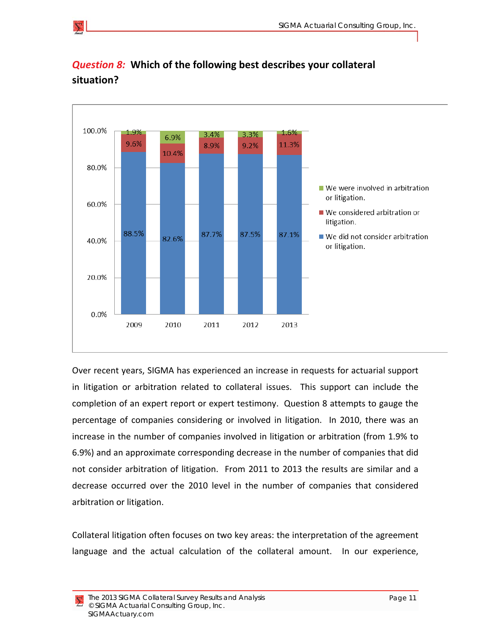

#### *Question 8:* **Which of the following best describes your collateral situation?**

Over recent years, SIGMA has experienced an increase in requests for actuarial support in litigation or arbitration related to collateral issues. This support can include the completion of an expert report or expert testimony. Question 8 attempts to gauge the percentage of companies considering or involved in litigation. In 2010, there was an increase in the number of companies involved in litigation or arbitration (from 1.9% to 6.9%) and an approximate corresponding decrease in the number of companies that did not consider arbitration of litigation. From 2011 to 2013 the results are similar and a decrease occurred over the 2010 level in the number of companies that considered arbitration or litigation.

Collateral litigation often focuses on two key areas: the interpretation of the agreement language and the actual calculation of the collateral amount. In our experience,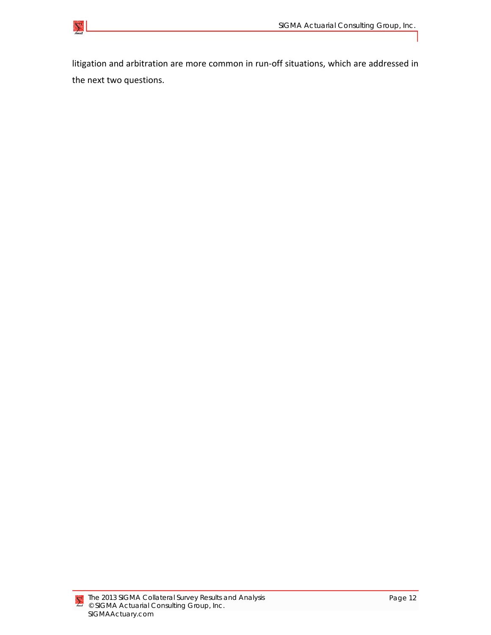

litigation and arbitration are more common in run‐off situations, which are addressed in the next two questions.

 $\sum$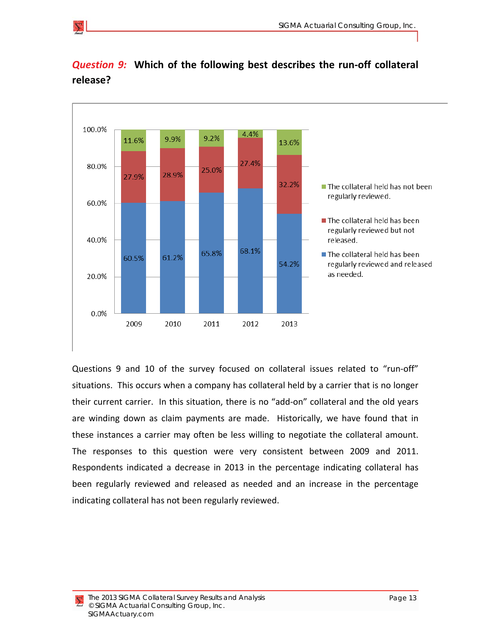

#### *Question 9:* **Which of the following best describes the run‐off collateral release?**

Questions 9 and 10 of the survey focused on collateral issues related to "run‐off" situations. This occurs when a company has collateral held by a carrier that is no longer their current carrier. In this situation, there is no "add‐on" collateral and the old years are winding down as claim payments are made. Historically, we have found that in these instances a carrier may often be less willing to negotiate the collateral amount. The responses to this question were very consistent between 2009 and 2011. Respondents indicated a decrease in 2013 in the percentage indicating collateral has been regularly reviewed and released as needed and an increase in the percentage indicating collateral has not been regularly reviewed.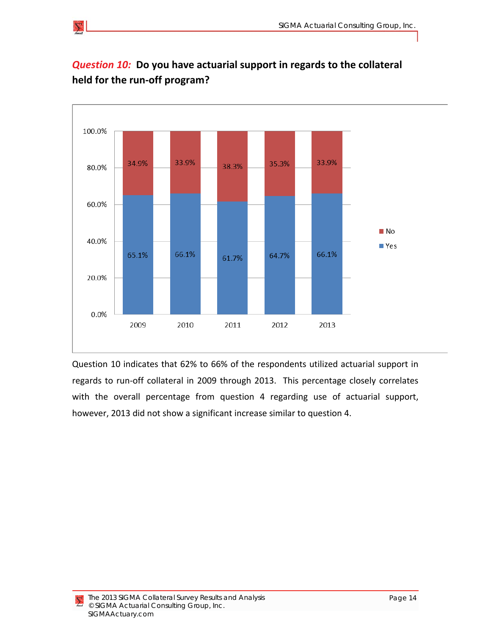

### *Question 10:* **Do you have actuarial support in regards to the collateral held for the run‐off program?**

Question 10 indicates that 62% to 66% of the respondents utilized actuarial support in regards to run‐off collateral in 2009 through 2013. This percentage closely correlates with the overall percentage from question 4 regarding use of actuarial support, however, 2013 did not show a significant increase similar to question 4.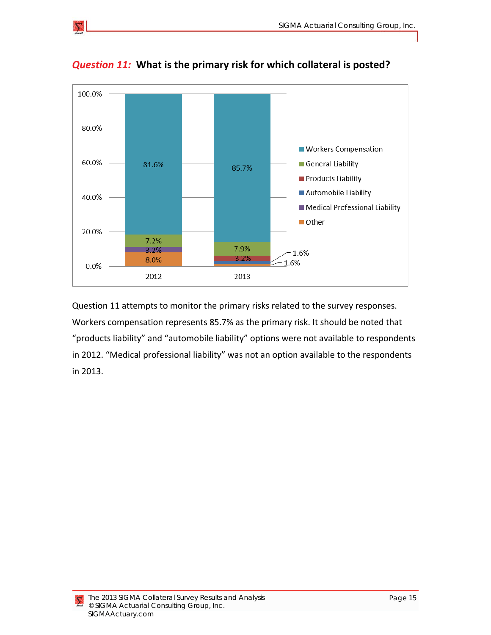

*Question 11:* **What is the primary risk for which collateral is posted?**

Question 11 attempts to monitor the primary risks related to the survey responses. Workers compensation represents 85.7% as the primary risk. It should be noted that "products liability" and "automobile liability" options were not available to respondents in 2012. "Medical professional liability" was not an option available to the respondents in 2013.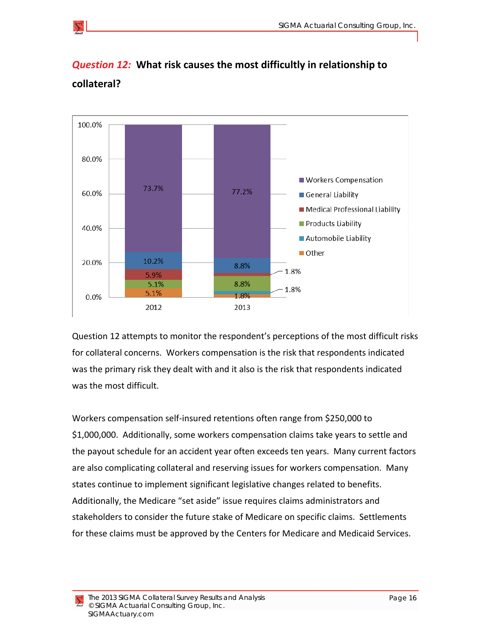

*Question 12:* **What risk causes the most difficultly in relationship to collateral?**

Question 12 attempts to monitor the respondent's perceptions of the most difficult risks for collateral concerns. Workers compensation is the risk that respondents indicated

was the primary risk they dealt with and it also is the risk that respondents indicated was the most difficult. Workers compensation self‐insured retentions often range from \$250,000 to

\$1,000,000. Additionally, some workers compensation claims take years to settle and the payout schedule for an accident year often exceeds ten years. Many current factors are also complicating collateral and reserving issues for workers compensation. Many states continue to implement significant legislative changes related to benefits. Additionally, the Medicare "set aside" issue requires claims administrators and stakeholders to consider the future stake of Medicare on specific claims. Settlements for these claims must be approved by the Centers for Medicare and Medicaid Services.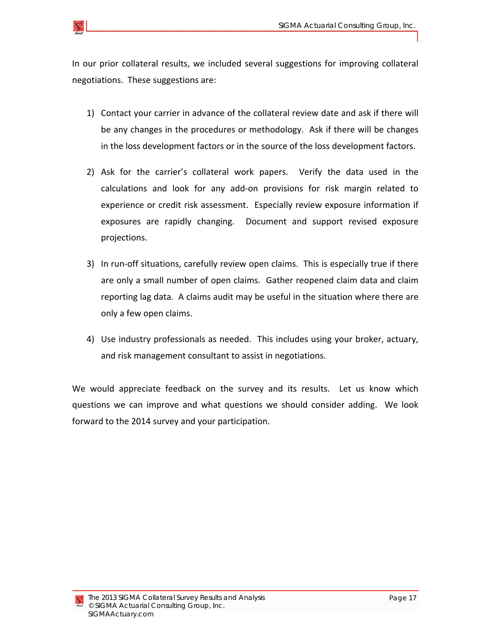In our prior collateral results, we included several suggestions for improving collateral negotiations. These suggestions are:

- 1) Contact your carrier in advance of the collateral review date and ask if there will be any changes in the procedures or methodology. Ask if there will be changes in the loss development factors or in the source of the loss development factors.
- 2) Ask for the carrier's collateral work papers. Verify the data used in the calculations and look for any add‐on provisions for risk margin related to experience or credit risk assessment. Especially review exposure information if exposures are rapidly changing. Document and support revised exposure projections.
- 3) In run-off situations, carefully review open claims. This is especially true if there are only a small number of open claims. Gather reopened claim data and claim reporting lag data. A claims audit may be useful in the situation where there are only a few open claims.
- 4) Use industry professionals as needed. This includes using your broker, actuary, and risk management consultant to assist in negotiations.

We would appreciate feedback on the survey and its results. Let us know which questions we can improve and what questions we should consider adding. We look forward to the 2014 survey and your participation.